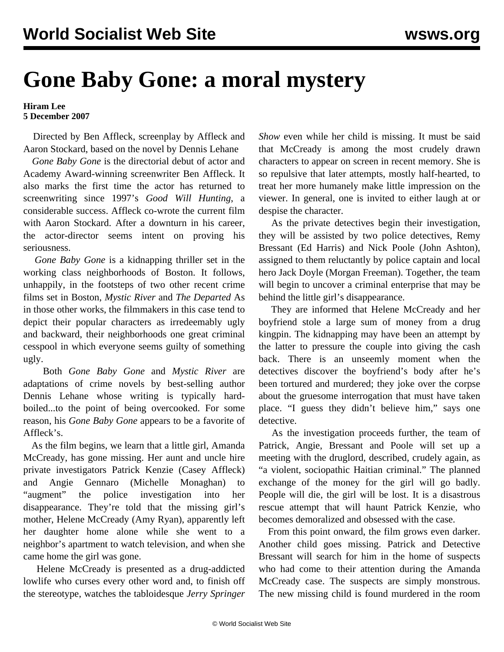## **Gone Baby Gone: a moral mystery**

## **Hiram Lee 5 December 2007**

 Directed by Ben Affleck, screenplay by Affleck and Aaron Stockard, based on the novel by Dennis Lehane

 *Gone Baby Gone* is the directorial debut of actor and Academy Award-winning screenwriter Ben Affleck. It also marks the first time the actor has returned to screenwriting since 1997's *Good Will Hunting*, a considerable success. Affleck co-wrote the current film with Aaron Stockard. After a downturn in his career, the actor-director seems intent on proving his seriousness.

 *Gone Baby Gone* is a kidnapping thriller set in the working class neighborhoods of Boston. It follows, unhappily, in the footsteps of two other recent crime films set in Boston, *Mystic River* and *The Departed* As in those other works, the filmmakers in this case tend to depict their popular characters as irredeemably ugly and backward, their neighborhoods one great criminal cesspool in which everyone seems guilty of something ugly.

 Both *Gone Baby Gone* and *Mystic River* are adaptations of crime novels by best-selling author Dennis Lehane whose writing is typically hardboiled...to the point of being overcooked. For some reason, his *Gone Baby Gone* appears to be a favorite of Affleck's.

 As the film begins, we learn that a little girl, Amanda McCready, has gone missing. Her aunt and uncle hire private investigators Patrick Kenzie (Casey Affleck) and Angie Gennaro (Michelle Monaghan) to "augment" the police investigation into her disappearance. They're told that the missing girl's mother, Helene McCready (Amy Ryan), apparently left her daughter home alone while she went to a neighbor's apartment to watch television, and when she came home the girl was gone.

 Helene McCready is presented as a drug-addicted lowlife who curses every other word and, to finish off the stereotype, watches the tabloidesque *Jerry Springer* *Show* even while her child is missing. It must be said that McCready is among the most crudely drawn characters to appear on screen in recent memory. She is so repulsive that later attempts, mostly half-hearted, to treat her more humanely make little impression on the viewer. In general, one is invited to either laugh at or despise the character.

 As the private detectives begin their investigation, they will be assisted by two police detectives, Remy Bressant (Ed Harris) and Nick Poole (John Ashton), assigned to them reluctantly by police captain and local hero Jack Doyle (Morgan Freeman). Together, the team will begin to uncover a criminal enterprise that may be behind the little girl's disappearance.

 They are informed that Helene McCready and her boyfriend stole a large sum of money from a drug kingpin. The kidnapping may have been an attempt by the latter to pressure the couple into giving the cash back. There is an unseemly moment when the detectives discover the boyfriend's body after he's been tortured and murdered; they joke over the corpse about the gruesome interrogation that must have taken place. "I guess they didn't believe him," says one detective.

 As the investigation proceeds further, the team of Patrick, Angie, Bressant and Poole will set up a meeting with the druglord, described, crudely again, as "a violent, sociopathic Haitian criminal." The planned exchange of the money for the girl will go badly. People will die, the girl will be lost. It is a disastrous rescue attempt that will haunt Patrick Kenzie, who becomes demoralized and obsessed with the case.

 From this point onward, the film grows even darker. Another child goes missing. Patrick and Detective Bressant will search for him in the home of suspects who had come to their attention during the Amanda McCready case. The suspects are simply monstrous. The new missing child is found murdered in the room